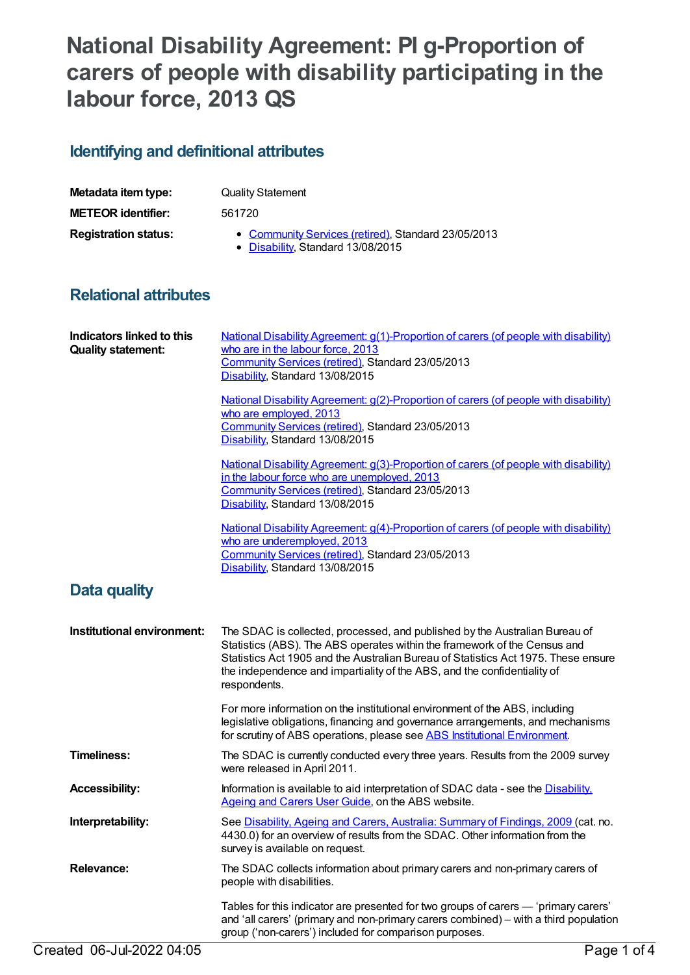# **National Disability Agreement: PI g-Proportion of carers of people with disability participating in the labour force, 2013 QS**

## **Identifying and definitional attributes**

| Metadata item type:         | <b>Quality Statement</b>                                                                 |
|-----------------------------|------------------------------------------------------------------------------------------|
| <b>METEOR identifier:</b>   | 561720                                                                                   |
| <b>Registration status:</b> | • Community Services (retired), Standard 23/05/2013<br>• Disability, Standard 13/08/2015 |

### **Relational attributes**

| National Disability Agreement: g(2)-Proportion of carers (of people with disability)<br>who are employed, 2013<br>Community Services (retired), Standard 23/05/2013<br>Disability, Standard 13/08/2015<br><b>National Disability Agreement: g(3)-Proportion of carers (of people with disability)</b><br>in the labour force who are unemployed, 2013<br>Community Services (retired), Standard 23/05/2013<br>Disability, Standard 13/08/2015<br><b>National Disability Agreement: g(4)-Proportion of carers (of people with disability)</b><br>who are underemployed, 2013<br>Community Services (retired), Standard 23/05/2013<br>Disability, Standard 13/08/2015 |
|---------------------------------------------------------------------------------------------------------------------------------------------------------------------------------------------------------------------------------------------------------------------------------------------------------------------------------------------------------------------------------------------------------------------------------------------------------------------------------------------------------------------------------------------------------------------------------------------------------------------------------------------------------------------|
|                                                                                                                                                                                                                                                                                                                                                                                                                                                                                                                                                                                                                                                                     |
|                                                                                                                                                                                                                                                                                                                                                                                                                                                                                                                                                                                                                                                                     |
|                                                                                                                                                                                                                                                                                                                                                                                                                                                                                                                                                                                                                                                                     |
|                                                                                                                                                                                                                                                                                                                                                                                                                                                                                                                                                                                                                                                                     |
| The SDAC is collected, processed, and published by the Australian Bureau of<br>Statistics (ABS). The ABS operates within the framework of the Census and<br>Statistics Act 1905 and the Australian Bureau of Statistics Act 1975. These ensure<br>the independence and impartiality of the ABS, and the confidentiality of<br>respondents.                                                                                                                                                                                                                                                                                                                          |
| For more information on the institutional environment of the ABS, including<br>legislative obligations, financing and governance arrangements, and mechanisms<br>for scrutiny of ABS operations, please see ABS Institutional Environment.                                                                                                                                                                                                                                                                                                                                                                                                                          |
| The SDAC is currently conducted every three years. Results from the 2009 survey<br>were released in April 2011.                                                                                                                                                                                                                                                                                                                                                                                                                                                                                                                                                     |
| Information is available to aid interpretation of SDAC data - see the <b>Disability</b> .<br>Ageing and Carers User Guide, on the ABS website.                                                                                                                                                                                                                                                                                                                                                                                                                                                                                                                      |
| See Disability, Ageing and Carers, Australia: Summary of Findings, 2009 (cat. no.<br>4430.0) for an overview of results from the SDAC. Other information from the<br>survey is available on request.                                                                                                                                                                                                                                                                                                                                                                                                                                                                |
| The SDAC collects information about primary carers and non-primary carers of<br>people with disabilities.                                                                                                                                                                                                                                                                                                                                                                                                                                                                                                                                                           |
|                                                                                                                                                                                                                                                                                                                                                                                                                                                                                                                                                                                                                                                                     |
|                                                                                                                                                                                                                                                                                                                                                                                                                                                                                                                                                                                                                                                                     |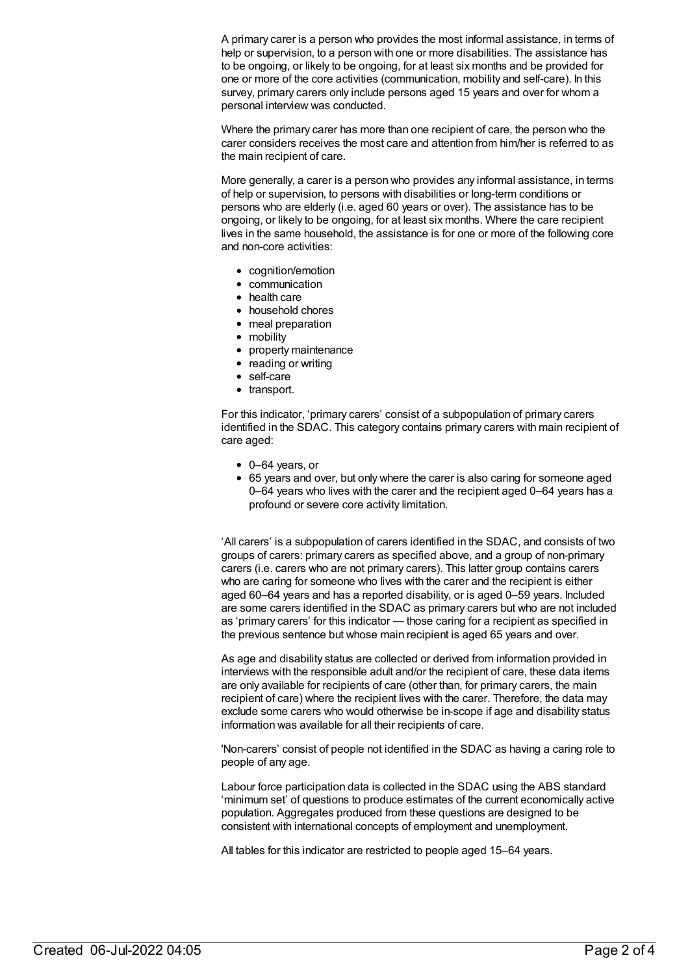A primary carer is a person who provides the most informal assistance, in terms of help or supervision, to a person with one or more disabilities. The assistance has to be ongoing, or likely to be ongoing, for at least six months and be provided for one or more of the core activities (communication, mobility and self-care). In this survey, primary carers only include persons aged 15 years and over for whom a personal interview was conducted.

Where the primary carer has more than one recipient of care, the person who the carer considers receives the most care and attention from him/her is referred to as the main recipient of care.

More generally, a carer is a person who provides any informal assistance, in terms of help or supervision, to persons with disabilities or long-term conditions or persons who are elderly (i.e. aged 60 years or over). The assistance has to be ongoing, or likely to be ongoing, for at least six months. Where the care recipient lives in the same household, the assistance is for one or more of the following core and non-core activities:

- cognition/emotion
- communication
- health care
- household chores
- meal preparation
- mobility
- property maintenance
- reading or writing
- self-care
- transport.

For this indicator, 'primary carers' consist of a subpopulation of primary carers identified in the SDAC. This category contains primary carers with main recipient of care aged:

- 0–64 years, or
- 65 years and over, but only where the carer is also caring for someone aged 0–64 years who lives with the carer and the recipient aged 0–64 years has a profound or severe core activity limitation.

'All carers' is a subpopulation of carers identified in the SDAC, and consists of two groups of carers: primary carers as specified above, and a group of non-primary carers (i.e. carers who are not primary carers). This latter group contains carers who are caring for someone who lives with the carer and the recipient is either aged 60–64 years and has a reported disability, or is aged 0–59 years. Included are some carers identified in the SDAC as primary carers but who are not included as 'primary carers' for this indicator — those caring for a recipient as specified in the previous sentence but whose main recipient is aged 65 years and over.

As age and disability status are collected or derived from information provided in interviews with the responsible adult and/or the recipient of care, these data items are only available for recipients of care (other than, for primary carers, the main recipient of care) where the recipient lives with the carer. Therefore, the data may exclude some carers who would otherwise be in-scope if age and disability status information was available for all their recipients of care.

'Non-carers' consist of people not identified in the SDAC as having a caring role to people of any age.

Labour force participation data is collected in the SDAC using the ABS standard 'minimum set' of questions to produce estimates of the current economically active population. Aggregates produced from these questions are designed to be consistent with international concepts of employment and unemployment.

All tables for this indicator are restricted to people aged 15–64 years.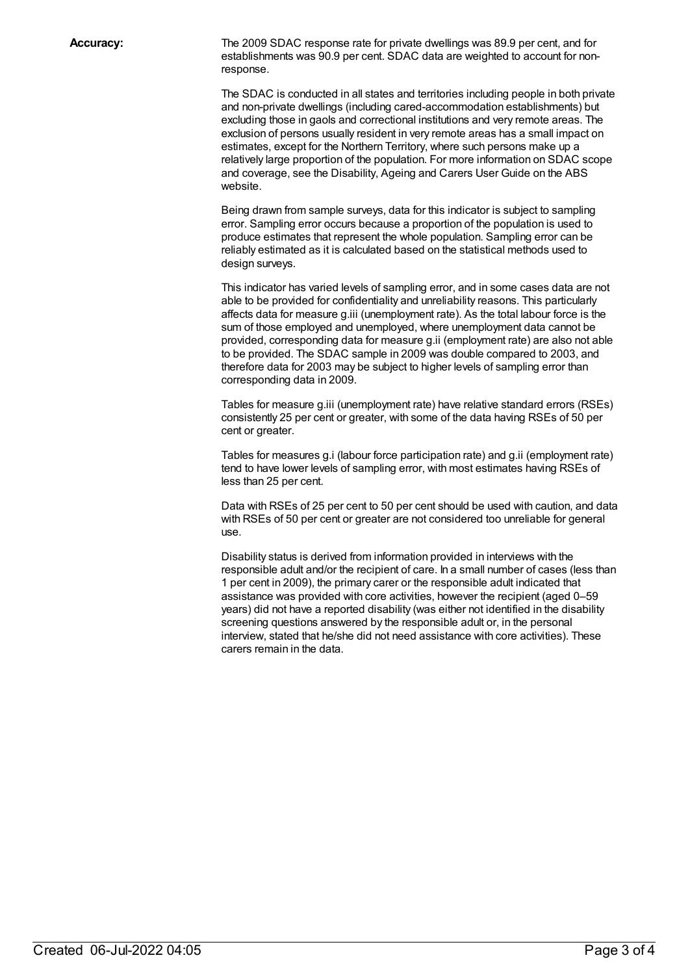**Accuracy:** The 2009 SDAC response rate for private dwellings was 89.9 per cent, and for establishments was 90.9 per cent. SDAC data are weighted to account for nonresponse.

> The SDAC is conducted in all states and territories including people in both private and non-private dwellings (including cared-accommodation establishments) but excluding those in gaols and correctional institutions and very remote areas. The exclusion of persons usually resident in very remote areas has a small impact on estimates, except for the Northern Territory, where such persons make up a relatively large proportion of the population. For more information on SDAC scope and coverage, see the Disability, Ageing and Carers User Guide on the ABS website.

Being drawn from sample surveys, data for this indicator is subject to sampling error. Sampling error occurs because a proportion of the population is used to produce estimates that represent the whole population. Sampling error can be reliably estimated as it is calculated based on the statistical methods used to design surveys.

This indicator has varied levels of sampling error, and in some cases data are not able to be provided for confidentiality and unreliability reasons. This particularly affects data for measure g.iii (unemployment rate). As the total labour force is the sum of those employed and unemployed, where unemployment data cannot be provided, corresponding data for measure g.ii (employment rate) are also not able to be provided. The SDAC sample in 2009 was double compared to 2003, and therefore data for 2003 may be subject to higher levels of sampling error than corresponding data in 2009.

Tables for measure g.iii (unemployment rate) have relative standard errors (RSEs) consistently 25 per cent or greater, with some of the data having RSEs of 50 per cent or greater.

Tables for measures g.i (labour force participation rate) and g.ii (employment rate) tend to have lower levels of sampling error, with most estimates having RSEs of less than 25 per cent.

Data with RSEs of 25 per cent to 50 per cent should be used with caution, and data with RSEs of 50 per cent or greater are not considered too unreliable for general use.

Disability status is derived from information provided in interviews with the responsible adult and/or the recipient of care. In a small number of cases (less than 1 per cent in 2009), the primary carer or the responsible adult indicated that assistance was provided with core activities, however the recipient (aged 0–59 years) did not have a reported disability (was either not identified in the disability screening questions answered by the responsible adult or, in the personal interview, stated that he/she did not need assistance with core activities). These carers remain in the data.